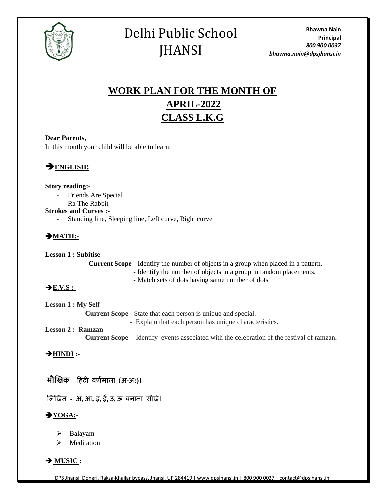

## Delhi Public School **JHANSI**

### **WORK PLAN FOR THE MONTH OF APRIL-2022 CLASS L.K.G**

#### **Dear Parents,**

In this month your child will be able to learn:

➔**ENGLISH:**

#### **Story reading:-**

- Friends Are Special
- Ra The Rabbit

#### **Strokes and Curves :-**

- Standing line, Sleeping line, Left curve, Right curve

#### ➔**MATH:-**

**Lesson 1 : Subitise**

 **Current Scope -** Identify the number of objects in a group when placed in a pattern.

- Identify the number of objects in a group in random placements.
- Match sets of dots having same number of dots.

#### ➔**E.V.S :-**

**Lesson 1 : My Self Current Scope** - State that each person is unique and special. - Explain that each person has unique characteristics.

#### **Lesson 2 : Ramzan**

 **Current Scope** - Identify events associated with the celebration of the festival of ramzan**.** 

#### ➔**HINDI :-**

**मौखिक -** ह िंदी वर्णमाला (अ-अ**:)**।

ललखित **-** अ**,** आ**,** इ**,** ई**,** उ**,** ऊ बनाना सीिें।

#### ➔**YOGA:-**

- ➢ Balayam
- ➢ Meditation

➔ **MUSIC :**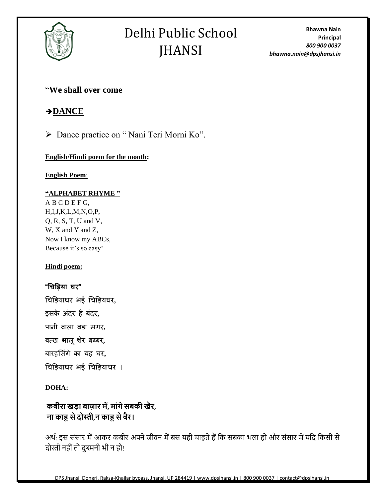

# Delhi Public School **JHANSI**

**Bhawna Nain Principal** *800 900 0037 bhawna.nain@dpsjhansi.in*

#### "**We shall over come**

#### ➔**DANCE**

➢ Dance practice on " Nani Teri Morni Ko".

#### **English/Hindi poem for the month:**

**English Poem**:

#### **"ALPHABET RHYME "**

A B C D E F G, H,I,J,K,L,M,N,O,P, Q, R, S, T, U and V, W, X and Y and Z, Now I know my ABCs, Because it's so easy!

#### **Hindi poem:**

#### **"चिड़िया घर"**

चिड़ियाघर भई चिड़ियघर**,**  इसके अिंदर ै बिंदर**,** 

पानी वाला ब़िा मगर**,** 

बत्ि भालूशेर बब्बर**,** 

बार लसिंगे का य घर**,**

चिड़ियाघर भई चिड़ियाघर ।

#### **DOHA:**

#### **कबीरा खडा बाजार में, माांगेसबकी खैर, ना काहू सेदोस्ती,न काहू सेबैर।**

अर्थ: इस संसार में आकर कबीर अपने जीवन में बस यही चाहते हैं कि सबका भला हो और संसार में यदि किसी से दोस्ती नहीं तो दुश्मनी भी न हो!